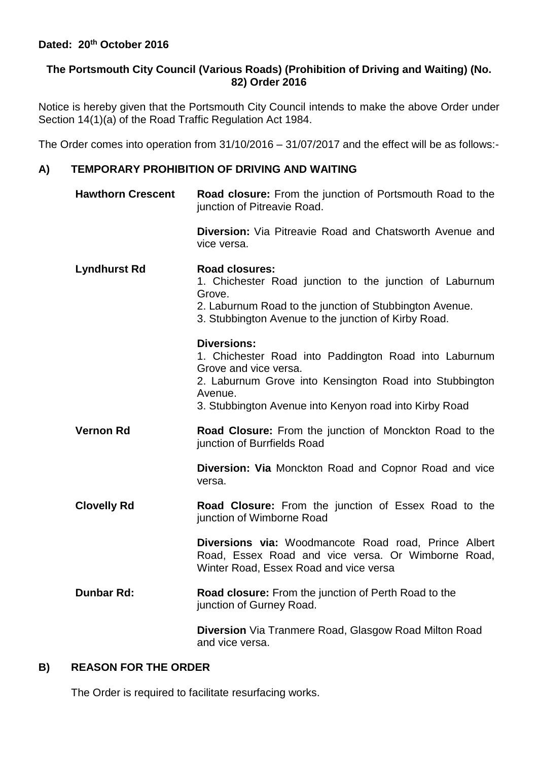## **The Portsmouth City Council (Various Roads) (Prohibition of Driving and Waiting) (No. 82) Order 2016**

Notice is hereby given that the Portsmouth City Council intends to make the above Order under Section 14(1)(a) of the Road Traffic Regulation Act 1984.

The Order comes into operation from 31/10/2016 – 31/07/2017 and the effect will be as follows:-

## **A) TEMPORARY PROHIBITION OF DRIVING AND WAITING**

| <b>Hawthorn Crescent</b> | <b>Road closure:</b> From the junction of Portsmouth Road to the<br>junction of Pitreavie Road.                                                                                                                                      |
|--------------------------|--------------------------------------------------------------------------------------------------------------------------------------------------------------------------------------------------------------------------------------|
|                          | <b>Diversion:</b> Via Pitreavie Road and Chatsworth Avenue and<br>vice versa.                                                                                                                                                        |
| <b>Lyndhurst Rd</b>      | Road closures:<br>1. Chichester Road junction to the junction of Laburnum<br>Grove.<br>2. Laburnum Road to the junction of Stubbington Avenue.<br>3. Stubbington Avenue to the junction of Kirby Road.                               |
|                          | <b>Diversions:</b><br>1. Chichester Road into Paddington Road into Laburnum<br>Grove and vice versa.<br>2. Laburnum Grove into Kensington Road into Stubbington<br>Avenue.<br>3. Stubbington Avenue into Kenyon road into Kirby Road |
| <b>Vernon Rd</b>         | Road Closure: From the junction of Monckton Road to the<br>junction of Burrfields Road                                                                                                                                               |
|                          | <b>Diversion: Via Monckton Road and Copnor Road and vice</b><br>versa.                                                                                                                                                               |
| <b>Clovelly Rd</b>       | <b>Road Closure:</b> From the junction of Essex Road to the<br>junction of Wimborne Road                                                                                                                                             |
|                          | <b>Diversions via: Woodmancote Road road, Prince Albert</b><br>Road, Essex Road and vice versa. Or Wimborne Road,<br>Winter Road, Essex Road and vice versa                                                                          |
| <b>Dunbar Rd:</b>        | Road closure: From the junction of Perth Road to the<br>junction of Gurney Road.                                                                                                                                                     |
|                          | <b>Diversion</b> Via Tranmere Road, Glasgow Road Milton Road                                                                                                                                                                         |

## **B) REASON FOR THE ORDER**

The Order is required to facilitate resurfacing works.

and vice versa.